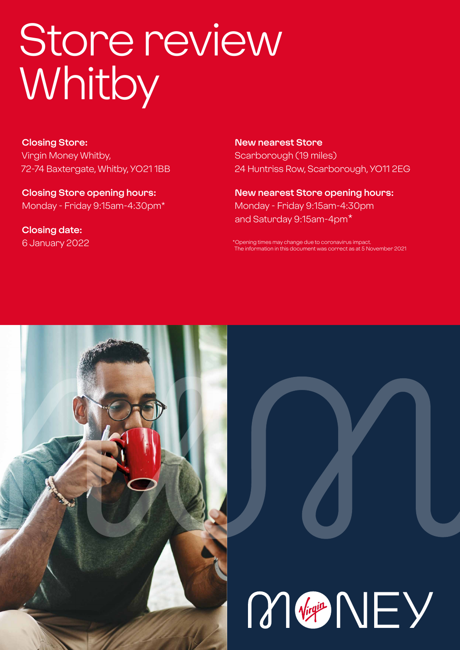# Store review **Whitby**

**Closing Store:** Virgin Money Whitby, 72-74 Baxtergate, Whitby, YO21 1BB

**Closing Store opening hours:**  Monday - Friday 9:15am-4:30pm\*

**Closing date:**  6 January 2022 **New nearest Store** Scarborough (19 miles) 24 Huntriss Row, Scarborough, YO11 2EG

**New nearest Store opening hours:** Monday - Friday 9:15am-4:30pm and Saturday 9:15am-4pm\*

\*Opening times may change due to coronavirus impact. The information in this document was correct as at 5 November 2021



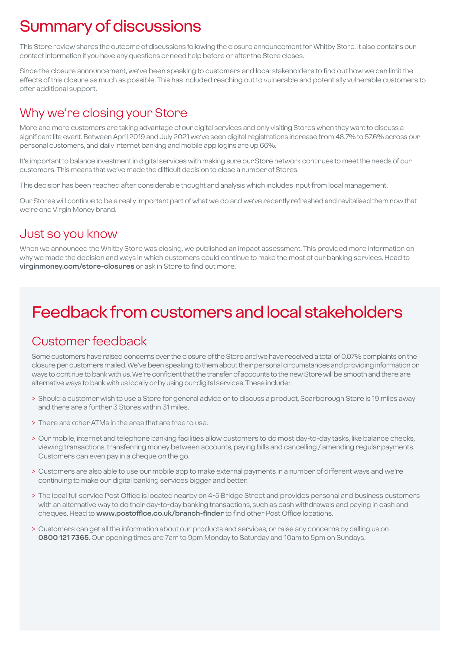# Summary of discussions

This Store review shares the outcome of discussions following the closure announcement for Whitby Store. It also contains our contact information if you have any questions or need help before or after the Store closes.

Since the closure announcement, we've been speaking to customers and local stakeholders to find out how we can limit the effects of this closure as much as possible. This has included reaching out to vulnerable and potentially vulnerable customers to offer additional support.

### Why we're closing your Store

More and more customers are taking advantage of our digital services and only visiting Stores when they want to discuss a significant life event. Between April 2019 and July 2021 we've seen digital registrations increase from 48.7% to 57.6% across our personal customers, and daily internet banking and mobile app logins are up 66%.

It's important to balance investment in digital services with making sure our Store network continues to meet the needs of our customers. This means that we've made the difficult decision to close a number of Stores.

This decision has been reached after considerable thought and analysis which includes input from local management.

Our Stores will continue to be a really important part of what we do and we've recently refreshed and revitalised them now that we're one Virgin Money brand.

### Just so you know

When we announced the Whitby Store was closing, we published an impact assessment. This provided more information on why we made the decision and ways in which customers could continue to make the most of our banking services. Head to **virginmoney.com/store-closures** or ask in Store to find out more.

# Feedback from customers and local stakeholders

### Customer feedback

Some customers have raised concerns over the closure of the Store and we have received a total of 0.07% complaints on the closure per customers mailed. We've been speaking to them about their personal circumstances and providing information on ways to continue to bank with us. We're confident that the transfer of accounts to the new Store will be smooth and there are alternative ways to bank with us locally or by using our digital services. These include:

- > Should a customer wish to use a Store for general advice or to discuss a product, Scarborough Store is 19 miles away and there are a further 3 Stores within 31 miles.
- > There are other ATMs in the area that are free to use.
- > Our mobile, internet and telephone banking facilities allow customers to do most day-to-day tasks, like balance checks, viewing transactions, transferring money between accounts, paying bills and cancelling / amending regular payments. Customers can even pay in a cheque on the go.
- > Customers are also able to use our mobile app to make external payments in a number of different ways and we're continuing to make our digital banking services bigger and better.
- > The local full service Post Office is located nearby on 4-5 Bridge Street and provides personal and business customers with an alternative way to do their day-to-day banking transactions, such as cash withdrawals and paying in cash and cheques. Head to **www.postoffice.co.uk/branch-finder** to find other Post Office locations.
- > Customers can get all the information about our products and services, or raise any concerns by calling us on **0800 121 7365**. Our opening times are 7am to 9pm Monday to Saturday and 10am to 5pm on Sundays.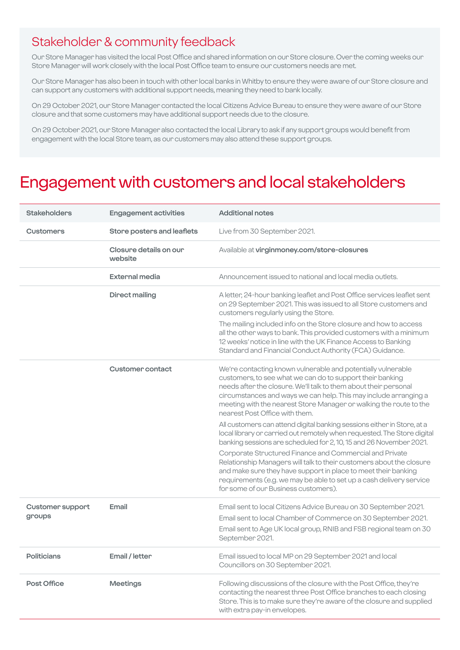### Stakeholder & community feedback

Our Store Manager has visited the local Post Office and shared information on our Store closure. Over the coming weeks our Store Manager will work closely with the local Post Office team to ensure our customers needs are met.

Our Store Manager has also been in touch with other local banks in Whitby to ensure they were aware of our Store closure and can support any customers with additional support needs, meaning they need to bank locally.

On 29 October 2021, our Store Manager contacted the local Citizens Advice Bureau to ensure they were aware of our Store closure and that some customers may have additional support needs due to the closure.

On 29 October 2021, our Store Manager also contacted the local Library to ask if any support groups would benefit from engagement with the local Store team, as our customers may also attend these support groups.

### Engagement with customers and local stakeholders

| <b>Stakeholders</b>               | <b>Engagement activities</b>      | <b>Additional notes</b>                                                                                                                                                                                                                                                                                                                                                   |
|-----------------------------------|-----------------------------------|---------------------------------------------------------------------------------------------------------------------------------------------------------------------------------------------------------------------------------------------------------------------------------------------------------------------------------------------------------------------------|
| <b>Customers</b>                  | Store posters and leaflets        | Live from 30 September 2021.                                                                                                                                                                                                                                                                                                                                              |
|                                   | Closure details on our<br>website | Available at virginmoney.com/store-closures                                                                                                                                                                                                                                                                                                                               |
|                                   | External media                    | Announcement issued to national and local media outlets.                                                                                                                                                                                                                                                                                                                  |
|                                   | <b>Direct mailing</b>             | A letter, 24-hour banking leaflet and Post Office services leaflet sent<br>on 29 September 2021. This was issued to all Store customers and<br>customers regularly using the Store.                                                                                                                                                                                       |
|                                   |                                   | The mailing included info on the Store closure and how to access<br>all the other ways to bank. This provided customers with a minimum<br>12 weeks' notice in line with the UK Finance Access to Banking<br>Standard and Financial Conduct Authority (FCA) Guidance.                                                                                                      |
|                                   | <b>Customer contact</b>           | We're contacting known vulnerable and potentially vulnerable<br>customers, to see what we can do to support their banking<br>needs after the closure. We'll talk to them about their personal<br>circumstances and ways we can help. This may include arranging a<br>meeting with the nearest Store Manager or walking the route to the<br>nearest Post Office with them. |
|                                   |                                   | All customers can attend digital banking sessions either in Store, at a<br>local library or carried out remotely when requested. The Store digital<br>banking sessions are scheduled for 2, 10, 15 and 26 November 2021.                                                                                                                                                  |
|                                   |                                   | Corporate Structured Finance and Commercial and Private<br>Relationship Managers will talk to their customers about the closure<br>and make sure they have support in place to meet their banking<br>requirements (e.g. we may be able to set up a cash delivery service<br>for some of our Business customers).                                                          |
| <b>Customer support</b><br>groups | Email                             | Email sent to local Citizens Advice Bureau on 30 September 2021.<br>Email sent to local Chamber of Commerce on 30 September 2021.<br>Email sent to Age UK local group, RNIB and FSB regional team on 30<br>September 2021.                                                                                                                                                |
| <b>Politicians</b>                | Email / letter                    | Email issued to local MP on 29 September 2021 and local<br>Councillors on 30 September 2021.                                                                                                                                                                                                                                                                              |
| <b>Post Office</b>                | <b>Meetings</b>                   | Following discussions of the closure with the Post Office, they're<br>contacting the nearest three Post Office branches to each closing<br>Store. This is to make sure they're aware of the closure and supplied<br>with extra pay-in envelopes.                                                                                                                          |